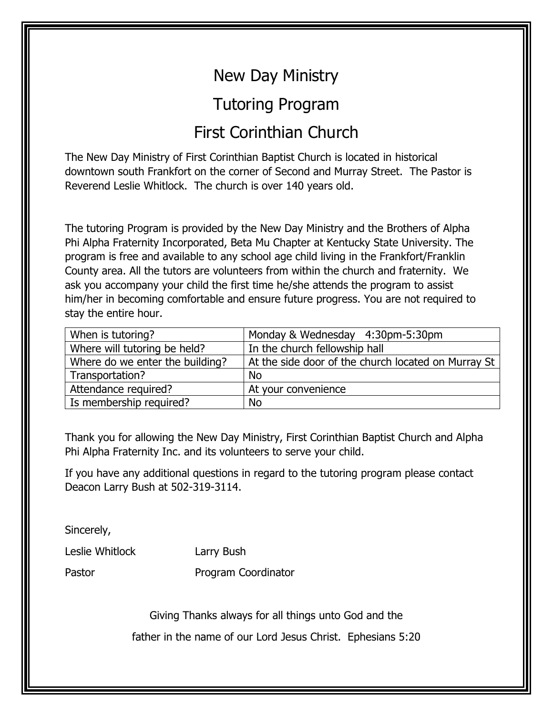## New Day Ministry

## Tutoring Program

## First Corinthian Church

The New Day Ministry of First Corinthian Baptist Church is located in historical downtown south Frankfort on the corner of Second and Murray Street. The Pastor is Reverend Leslie Whitlock. The church is over 140 years old.

The tutoring Program is provided by the New Day Ministry and the Brothers of Alpha Phi Alpha Fraternity Incorporated, Beta Mu Chapter at Kentucky State University. The program is free and available to any school age child living in the Frankfort/Franklin County area. All the tutors are volunteers from within the church and fraternity. We ask you accompany your child the first time he/she attends the program to assist him/her in becoming comfortable and ensure future progress. You are not required to stay the entire hour.

| When is tutoring?               | Monday & Wednesday 4:30pm-5:30pm                    |
|---------------------------------|-----------------------------------------------------|
| Where will tutoring be held?    | In the church fellowship hall                       |
| Where do we enter the building? | At the side door of the church located on Murray St |
| Transportation?                 | <b>No</b>                                           |
| Attendance required?            | At your convenience                                 |
| Is membership required?         | <b>No</b>                                           |

Thank you for allowing the New Day Ministry, First Corinthian Baptist Church and Alpha Phi Alpha Fraternity Inc. and its volunteers to serve your child.

If you have any additional questions in regard to the tutoring program please contact Deacon Larry Bush at 502-319-3114.

Sincerely,

Leslie Whitlock Larry Bush

Pastor Program Coordinator

Giving Thanks always for all things unto God and the

father in the name of our Lord Jesus Christ. Ephesians 5:20